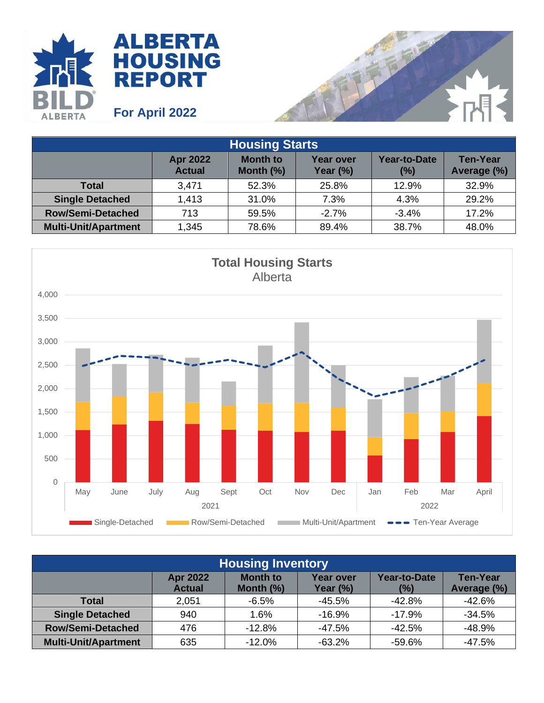



| <b>Housing Starts</b>       |                                  |                                 |                              |                     |                                |  |
|-----------------------------|----------------------------------|---------------------------------|------------------------------|---------------------|--------------------------------|--|
|                             | <b>Apr 2022</b><br><b>Actual</b> | <b>Month to</b><br>Month $(\%)$ | <b>Year over</b><br>Year (%) | Year-to-Date<br>(%) | <b>Ten-Year</b><br>Average (%) |  |
| <b>Total</b>                | 3,471                            | 52.3%                           | 25.8%                        | 12.9%               | 32.9%                          |  |
| <b>Single Detached</b>      | 1,413                            | 31.0%                           | 7.3%                         | 4.3%                | 29.2%                          |  |
| <b>Row/Semi-Detached</b>    | 713                              | 59.5%                           | $-2.7%$                      | $-3.4%$             | 17.2%                          |  |
| <b>Multi-Unit/Apartment</b> | 1,345                            | 78.6%                           | 89.4%                        | 38.7%               | 48.0%                          |  |



| <b>Housing Inventory</b>    |                                  |                                 |                              |                     |                                |  |
|-----------------------------|----------------------------------|---------------------------------|------------------------------|---------------------|--------------------------------|--|
|                             | <b>Apr 2022</b><br><b>Actual</b> | <b>Month to</b><br>Month $(\%)$ | <b>Year over</b><br>Year (%) | Year-to-Date<br>(%) | <b>Ten-Year</b><br>Average (%) |  |
| <b>Total</b>                | 2,051                            | $-6.5%$                         | $-45.5%$                     | $-42.8%$            | $-42.6%$                       |  |
| <b>Single Detached</b>      | 940                              | 1.6%                            | $-16.9%$                     | $-17.9%$            | $-34.5%$                       |  |
| <b>Row/Semi-Detached</b>    | 476                              | $-12.8%$                        | $-47.5%$                     | $-42.5%$            | $-48.9%$                       |  |
| <b>Multi-Unit/Apartment</b> | 635                              | $-12.0\%$                       | $-63.2%$                     | $-59.6%$            | $-47.5%$                       |  |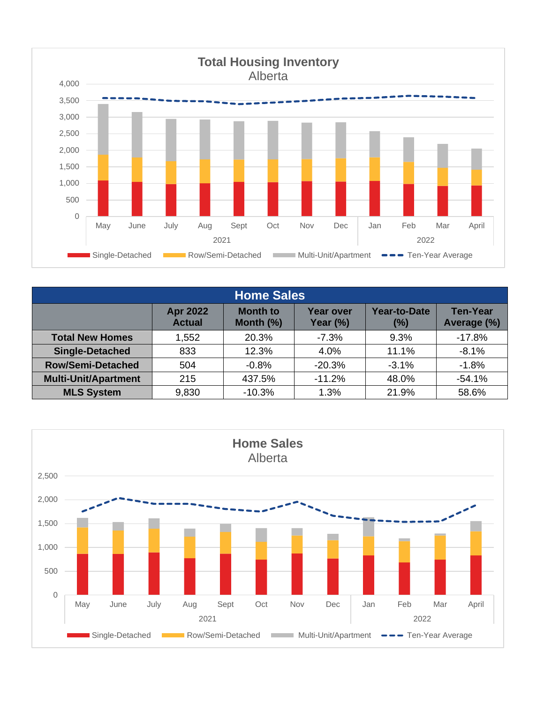

| <b>Home Sales</b>           |                                  |                                 |                                 |                            |                                |  |
|-----------------------------|----------------------------------|---------------------------------|---------------------------------|----------------------------|--------------------------------|--|
|                             | <b>Apr 2022</b><br><b>Actual</b> | <b>Month to</b><br>Month $(\%)$ | <b>Year over</b><br>Year $(\%)$ | <b>Year-to-Date</b><br>(%) | <b>Ten-Year</b><br>Average (%) |  |
| <b>Total New Homes</b>      | 1,552                            | 20.3%                           | $-7.3%$                         | 9.3%                       | $-17.8%$                       |  |
| <b>Single-Detached</b>      | 833                              | 12.3%                           | 4.0%                            | 11.1%                      | $-8.1%$                        |  |
| <b>Row/Semi-Detached</b>    | 504                              | $-0.8%$                         | $-20.3%$                        | $-3.1%$                    | $-1.8%$                        |  |
| <b>Multi-Unit/Apartment</b> | 215                              | 437.5%                          | $-11.2%$                        | 48.0%                      | $-54.1%$                       |  |
| <b>MLS System</b>           | 9,830                            | $-10.3%$                        | 1.3%                            | 21.9%                      | 58.6%                          |  |